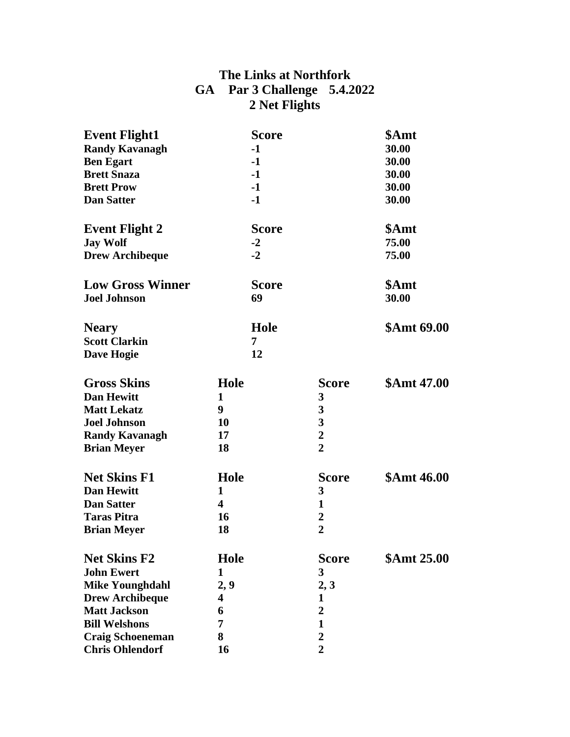## **The Links at Northfork GA Par 3 Challenge 5.4.2022 2 Net Flights**

| <b>Event Flight1</b>    |                         | <b>Score</b> |                  | \$Amt              |
|-------------------------|-------------------------|--------------|------------------|--------------------|
| <b>Randy Kavanagh</b>   |                         | $-1$         |                  | 30.00              |
| <b>Ben Egart</b>        |                         | $-1$         |                  | 30.00              |
| <b>Brett Snaza</b>      |                         | $-1$         |                  | 30.00              |
| <b>Brett Prow</b>       |                         | $-1$         |                  | 30.00              |
| <b>Dan Satter</b>       |                         | $-1$         |                  | 30.00              |
| <b>Event Flight 2</b>   |                         | <b>Score</b> |                  | \$Amt              |
| <b>Jay Wolf</b>         |                         | $-2$         |                  | 75.00              |
| <b>Drew Archibeque</b>  |                         | $-2$         |                  | 75.00              |
| <b>Low Gross Winner</b> |                         | <b>Score</b> |                  | \$Amt              |
| <b>Joel Johnson</b>     |                         | 69           |                  | 30.00              |
| <b>Neary</b>            |                         | Hole         |                  | <b>\$Amt 69.00</b> |
| <b>Scott Clarkin</b>    |                         | 7            |                  |                    |
| <b>Dave Hogie</b>       |                         | 12           |                  |                    |
| <b>Gross Skins</b>      | Hole                    |              | <b>Score</b>     | <b>\$Amt 47.00</b> |
| <b>Dan Hewitt</b>       | 1                       |              | 3                |                    |
| <b>Matt Lekatz</b>      | 9                       |              | 3                |                    |
| <b>Joel Johnson</b>     | 10                      |              | 3                |                    |
| <b>Randy Kavanagh</b>   | 17                      |              | $\overline{2}$   |                    |
| <b>Brian Meyer</b>      | 18                      |              | $\overline{2}$   |                    |
| <b>Net Skins F1</b>     | Hole                    |              | <b>Score</b>     | <b>\$Amt 46.00</b> |
| <b>Dan Hewitt</b>       | 1                       |              | 3                |                    |
| <b>Dan Satter</b>       | $\overline{\mathbf{4}}$ |              | 1                |                    |
| <b>Taras Pitra</b>      | <b>16</b>               |              | $\boldsymbol{2}$ |                    |
| <b>Brian Meyer</b>      | 18                      |              | $\overline{2}$   |                    |
| <b>Net Skins F2</b>     | Hole                    |              | <b>Score</b>     | <b>\$Amt 25.00</b> |
| <b>John Ewert</b>       | $\mathbf{1}$            |              | 3                |                    |
| <b>Mike Younghdahl</b>  | 2,9                     |              | 2, 3             |                    |
| <b>Drew Archibeque</b>  | 4                       |              | 1                |                    |
| <b>Matt Jackson</b>     | 6                       |              | $\overline{2}$   |                    |
| <b>Bill Welshons</b>    | 7                       |              | $\mathbf{1}$     |                    |
| <b>Craig Schoeneman</b> | 8                       |              | $\overline{2}$   |                    |
| <b>Chris Ohlendorf</b>  | 16                      |              | $\overline{2}$   |                    |